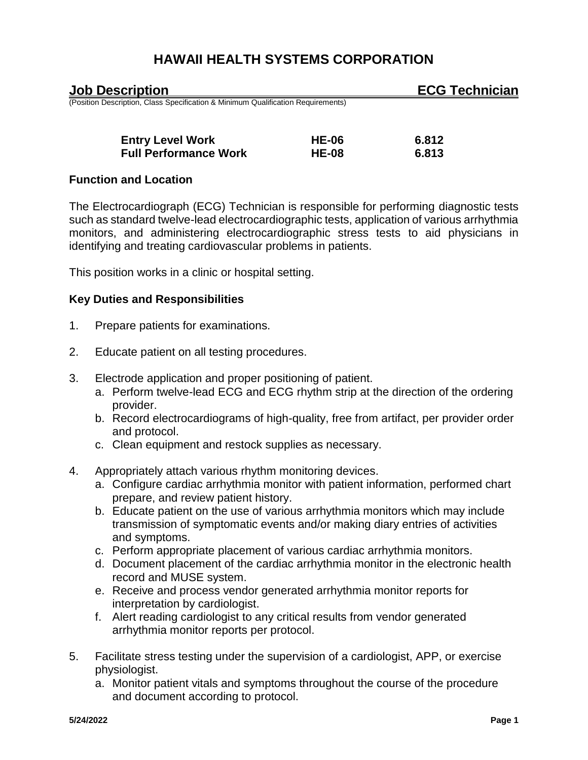| <b>Job Description</b>                                                           |              | <b>ECG Technician</b> |
|----------------------------------------------------------------------------------|--------------|-----------------------|
| (Position Description, Class Specification & Minimum Qualification Requirements) |              |                       |
| <b>Entry Level Work</b>                                                          | <b>HE-06</b> | 6.812                 |
| <b>Full Performance Work</b>                                                     | <b>HE-08</b> | 6.813                 |

### **Function and Location**

The Electrocardiograph (ECG) Technician is responsible for performing diagnostic tests such as standard twelve-lead electrocardiographic tests, application of various arrhythmia monitors, and administering electrocardiographic stress tests to aid physicians in identifying and treating cardiovascular problems in patients.

This position works in a clinic or hospital setting.

## **Key Duties and Responsibilities**

- 1. Prepare patients for examinations.
- 2. Educate patient on all testing procedures.
- 3. Electrode application and proper positioning of patient.
	- a. Perform twelve-lead ECG and ECG rhythm strip at the direction of the ordering provider.
	- b. Record electrocardiograms of high-quality, free from artifact, per provider order and protocol.
	- c. Clean equipment and restock supplies as necessary.
- 4. Appropriately attach various rhythm monitoring devices.
	- a. Configure cardiac arrhythmia monitor with patient information, performed chart prepare, and review patient history.
	- b. Educate patient on the use of various arrhythmia monitors which may include transmission of symptomatic events and/or making diary entries of activities and symptoms.
	- c. Perform appropriate placement of various cardiac arrhythmia monitors.
	- d. Document placement of the cardiac arrhythmia monitor in the electronic health record and MUSE system.
	- e. Receive and process vendor generated arrhythmia monitor reports for interpretation by cardiologist.
	- f. Alert reading cardiologist to any critical results from vendor generated arrhythmia monitor reports per protocol.
- 5. Facilitate stress testing under the supervision of a cardiologist, APP, or exercise physiologist.
	- a. Monitor patient vitals and symptoms throughout the course of the procedure and document according to protocol.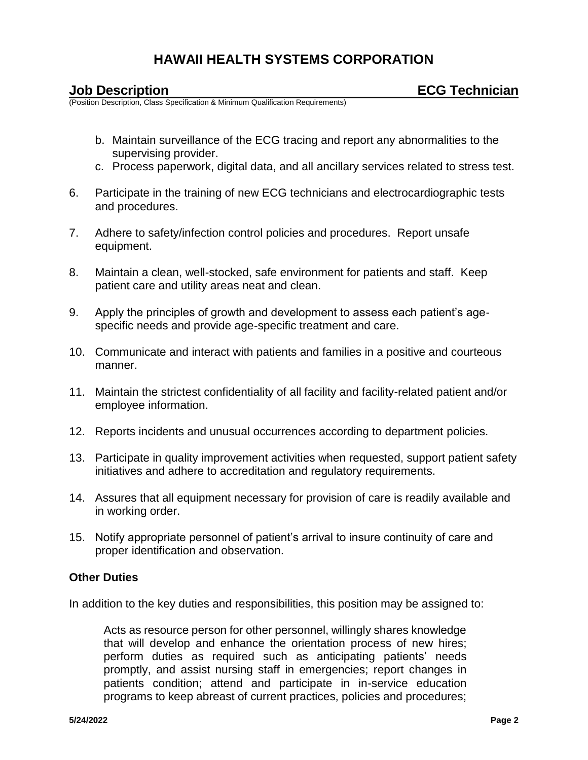**France Collect Processition**<br>(Position Description, Class Specification & Minimum Qualification Requirements)

- b. Maintain surveillance of the ECG tracing and report any abnormalities to the supervising provider.
- c. Process paperwork, digital data, and all ancillary services related to stress test.
- 6. Participate in the training of new ECG technicians and electrocardiographic tests and procedures.
- 7. Adhere to safety/infection control policies and procedures. Report unsafe equipment.
- 8. Maintain a clean, well-stocked, safe environment for patients and staff. Keep patient care and utility areas neat and clean.
- 9. Apply the principles of growth and development to assess each patient's agespecific needs and provide age-specific treatment and care.
- 10. Communicate and interact with patients and families in a positive and courteous manner.
- 11. Maintain the strictest confidentiality of all facility and facility-related patient and/or employee information.
- 12. Reports incidents and unusual occurrences according to department policies.
- 13. Participate in quality improvement activities when requested, support patient safety initiatives and adhere to accreditation and regulatory requirements.
- 14. Assures that all equipment necessary for provision of care is readily available and in working order.
- 15. Notify appropriate personnel of patient's arrival to insure continuity of care and proper identification and observation.

## **Other Duties**

In addition to the key duties and responsibilities, this position may be assigned to:

Acts as resource person for other personnel, willingly shares knowledge that will develop and enhance the orientation process of new hires; perform duties as required such as anticipating patients' needs promptly, and assist nursing staff in emergencies; report changes in patients condition; attend and participate in in-service education programs to keep abreast of current practices, policies and procedures;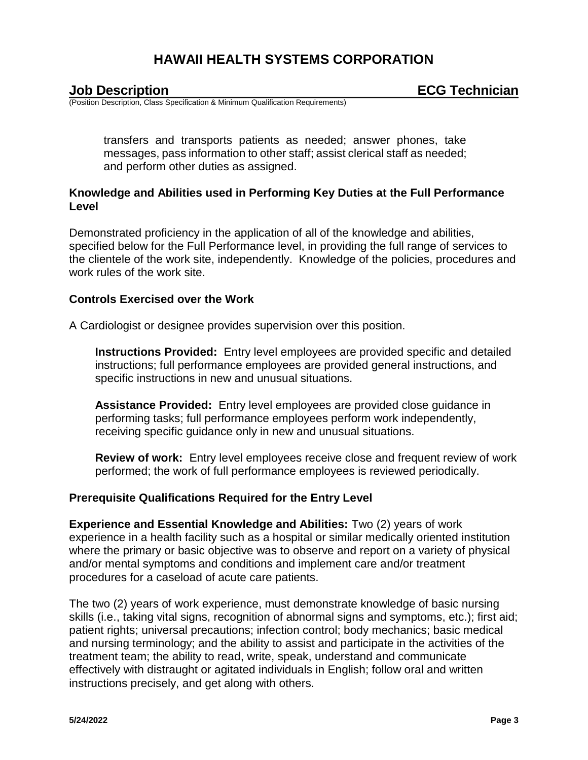| <b>Job Description</b> |  |
|------------------------|--|
|                        |  |

(Position Description, Class Specification & Minimum Qualification Requirements)

transfers and transports patients as needed; answer phones, take messages, pass information to other staff; assist clerical staff as needed; and perform other duties as assigned.

### **Knowledge and Abilities used in Performing Key Duties at the Full Performance Level**

Demonstrated proficiency in the application of all of the knowledge and abilities, specified below for the Full Performance level, in providing the full range of services to the clientele of the work site, independently. Knowledge of the policies, procedures and work rules of the work site.

### **Controls Exercised over the Work**

A Cardiologist or designee provides supervision over this position.

**Instructions Provided:** Entry level employees are provided specific and detailed instructions; full performance employees are provided general instructions, and specific instructions in new and unusual situations.

**Assistance Provided:** Entry level employees are provided close guidance in performing tasks; full performance employees perform work independently, receiving specific guidance only in new and unusual situations.

**Review of work:** Entry level employees receive close and frequent review of work performed; the work of full performance employees is reviewed periodically.

## **Prerequisite Qualifications Required for the Entry Level**

**Experience and Essential Knowledge and Abilities:** Two (2) years of work experience in a health facility such as a hospital or similar medically oriented institution where the primary or basic objective was to observe and report on a variety of physical and/or mental symptoms and conditions and implement care and/or treatment procedures for a caseload of acute care patients.

The two (2) years of work experience, must demonstrate knowledge of basic nursing skills (i.e., taking vital signs, recognition of abnormal signs and symptoms, etc.); first aid; patient rights; universal precautions; infection control; body mechanics; basic medical and nursing terminology; and the ability to assist and participate in the activities of the treatment team; the ability to read, write, speak, understand and communicate effectively with distraught or agitated individuals in English; follow oral and written instructions precisely, and get along with others.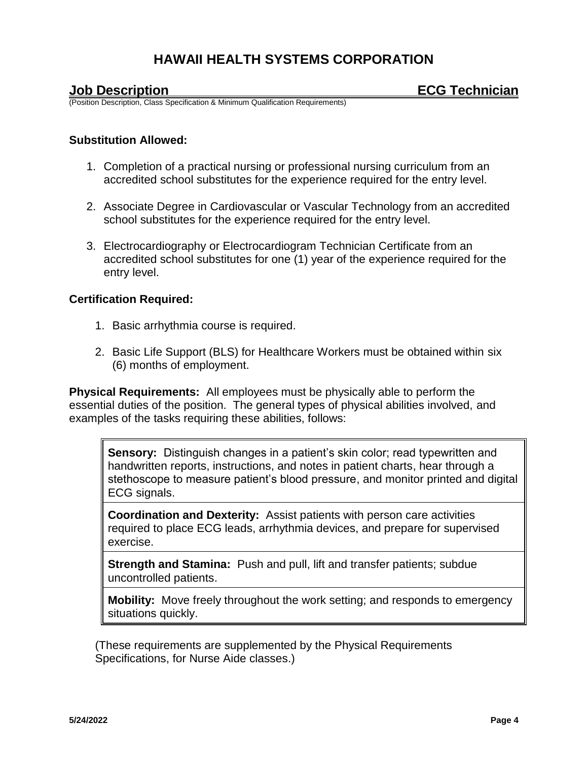(Position Description, Class Specification & Minimum Qualification Requirements)

#### **Substitution Allowed:**

- 1. Completion of a practical nursing or professional nursing curriculum from an accredited school substitutes for the experience required for the entry level.
- 2. Associate Degree in Cardiovascular or Vascular Technology from an accredited school substitutes for the experience required for the entry level.
- 3. Electrocardiography or Electrocardiogram Technician Certificate from an accredited school substitutes for one (1) year of the experience required for the entry level.

### **Certification Required:**

- 1. Basic arrhythmia course is required.
- 2. Basic Life Support (BLS) for Healthcare Workers must be obtained within six (6) months of employment.

**Physical Requirements:** All employees must be physically able to perform the essential duties of the position. The general types of physical abilities involved, and examples of the tasks requiring these abilities, follows:

**Sensory:** Distinguish changes in a patient's skin color; read typewritten and handwritten reports, instructions, and notes in patient charts, hear through a stethoscope to measure patient's blood pressure, and monitor printed and digital ECG signals.

**Coordination and Dexterity:** Assist patients with person care activities required to place ECG leads, arrhythmia devices, and prepare for supervised exercise.

**Strength and Stamina:** Push and pull, lift and transfer patients; subdue uncontrolled patients.

**Mobility:** Move freely throughout the work setting; and responds to emergency situations quickly.

(These requirements are supplemented by the Physical Requirements Specifications, for Nurse Aide classes.)